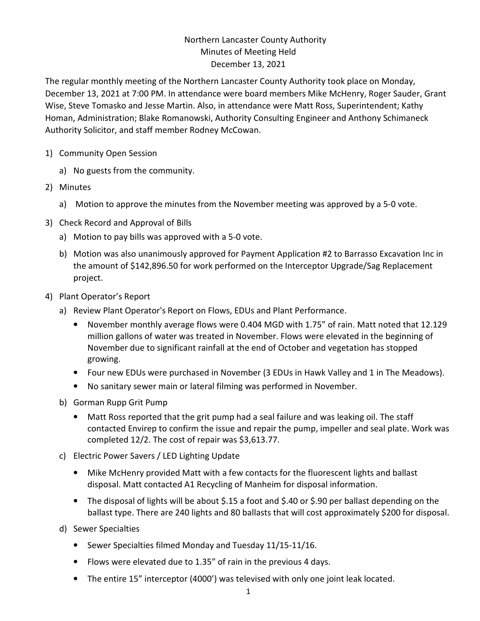## Northern Lancaster County Authority Minutes of Meeting Held December 13, 2021

The regular monthly meeting of the Northern Lancaster County Authority took place on Monday, December 13, 2021 at 7:00 PM. In attendance were board members Mike McHenry, Roger Sauder, Grant Wise, Steve Tomasko and Jesse Martin. Also, in attendance were Matt Ross, Superintendent; Kathy Homan, Administration; Blake Romanowski, Authority Consulting Engineer and Anthony Schimaneck Authority Solicitor, and staff member Rodney McCowan.

- 1) Community Open Session
	- a) No guests from the community.
- 2) Minutes
	- a) Motion to approve the minutes from the November meeting was approved by a 5-0 vote.
- 3) Check Record and Approval of Bills
	- a) Motion to pay bills was approved with a 5-0 vote.
	- b) Motion was also unanimously approved for Payment Application #2 to Barrasso Excavation Inc in the amount of \$142,896.50 for work performed on the Interceptor Upgrade/Sag Replacement project.
- 4) Plant Operator's Report
	- a) Review Plant Operator's Report on Flows, EDUs and Plant Performance.
		- November monthly average flows were 0.404 MGD with 1.75" of rain. Matt noted that 12.129 million gallons of water was treated in November. Flows were elevated in the beginning of November due to significant rainfall at the end of October and vegetation has stopped growing.
		- Four new EDUs were purchased in November (3 EDUs in Hawk Valley and 1 in The Meadows).
		- No sanitary sewer main or lateral filming was performed in November.
	- b) Gorman Rupp Grit Pump
		- Matt Ross reported that the grit pump had a seal failure and was leaking oil. The staff contacted Envirep to confirm the issue and repair the pump, impeller and seal plate. Work was completed 12/2. The cost of repair was \$3,613.77.
	- c) Electric Power Savers / LED Lighting Update
		- Mike McHenry provided Matt with a few contacts for the fluorescent lights and ballast disposal. Matt contacted A1 Recycling of Manheim for disposal information.
		- The disposal of lights will be about \$.15 a foot and \$.40 or \$.90 per ballast depending on the ballast type. There are 240 lights and 80 ballasts that will cost approximately \$200 for disposal.
	- d) Sewer Specialties
		- Sewer Specialties filmed Monday and Tuesday 11/15-11/16.
		- Flows were elevated due to 1.35" of rain in the previous 4 days.
		- The entire 15" interceptor (4000') was televised with only one joint leak located.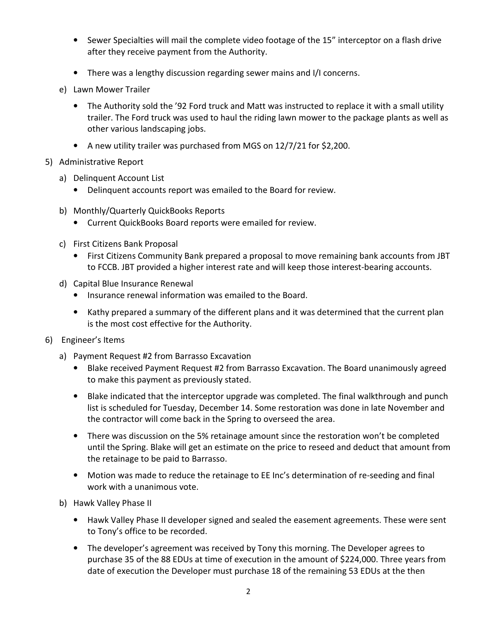- Sewer Specialties will mail the complete video footage of the 15" interceptor on a flash drive after they receive payment from the Authority.
- There was a lengthy discussion regarding sewer mains and I/I concerns.
- e) Lawn Mower Trailer
	- The Authority sold the '92 Ford truck and Matt was instructed to replace it with a small utility trailer. The Ford truck was used to haul the riding lawn mower to the package plants as well as other various landscaping jobs.
	- A new utility trailer was purchased from MGS on 12/7/21 for \$2,200.
- 5) Administrative Report
	- a) Delinquent Account List
		- Delinquent accounts report was emailed to the Board for review.
	- b) Monthly/Quarterly QuickBooks Reports
		- Current QuickBooks Board reports were emailed for review.
	- c) First Citizens Bank Proposal
		- First Citizens Community Bank prepared a proposal to move remaining bank accounts from JBT to FCCB. JBT provided a higher interest rate and will keep those interest-bearing accounts.
	- d) Capital Blue Insurance Renewal
		- Insurance renewal information was emailed to the Board.
		- Kathy prepared a summary of the different plans and it was determined that the current plan is the most cost effective for the Authority.
- 6) Engineer's Items
	- a) Payment Request #2 from Barrasso Excavation
		- Blake received Payment Request #2 from Barrasso Excavation. The Board unanimously agreed to make this payment as previously stated.
		- Blake indicated that the interceptor upgrade was completed. The final walkthrough and punch list is scheduled for Tuesday, December 14. Some restoration was done in late November and the contractor will come back in the Spring to overseed the area.
		- There was discussion on the 5% retainage amount since the restoration won't be completed until the Spring. Blake will get an estimate on the price to reseed and deduct that amount from the retainage to be paid to Barrasso.
		- Motion was made to reduce the retainage to EE Inc's determination of re-seeding and final work with a unanimous vote.
	- b) Hawk Valley Phase II
		- Hawk Valley Phase II developer signed and sealed the easement agreements. These were sent to Tony's office to be recorded.
		- The developer's agreement was received by Tony this morning. The Developer agrees to purchase 35 of the 88 EDUs at time of execution in the amount of \$224,000. Three years from date of execution the Developer must purchase 18 of the remaining 53 EDUs at the then